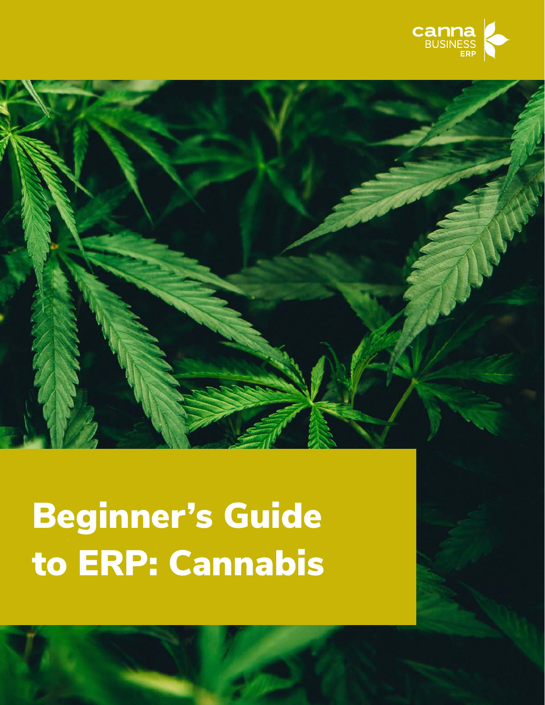



Beginning to ERP: Cannabis 1999, the ERP: Cannabis 1999, the ERP: Cannabis 1999, the ERP: Cannabis 1999, the E

# Beginner's Guide to ERP: Cannabis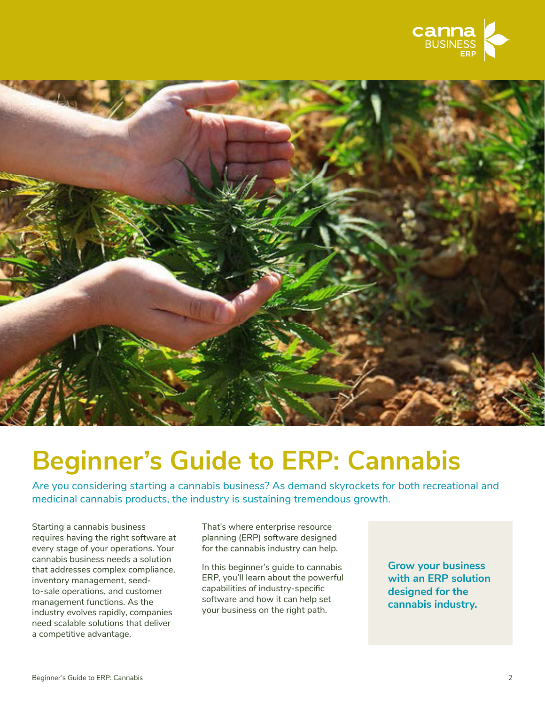



### **Beginner's Guide to ERP: Cannabis**

Are you considering starting a cannabis business? As demand skyrockets for both recreational and medicinal cannabis products, the industry is sustaining tremendous growth.

Starting a cannabis business requires having the right software at every stage of your operations. Your cannabis business needs a solution that addresses complex compliance, inventory management, seedto-sale operations, and customer management functions. As the industry evolves rapidly, companies need scalable solutions that deliver a competitive advantage.

That's where enterprise resource planning (ERP) software designed for the cannabis industry can help.

In this beginner's guide to cannabis ERP, you'll learn about the powerful capabilities of industry-specific software and how it can help set your business on the right path.

**Grow your business with an ERP solution designed for the cannabis industry.**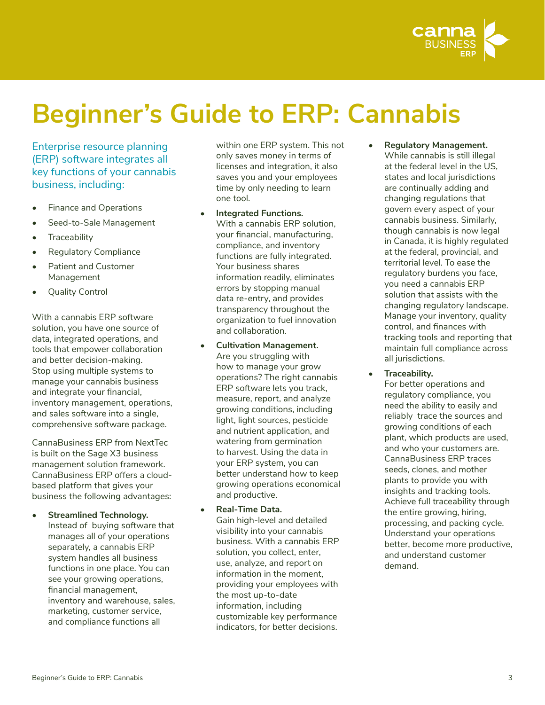

## **Beginner's Guide to ERP: Cannabis**

Enterprise resource planning (ERP) software integrates all key functions of your cannabis business, including:

- Finance and Operations
- Seed-to-Sale Management
- Traceability
- Regulatory Compliance
- Patient and Customer Management
- Quality Control

With a cannabis ERP software solution, you have one source of data, integrated operations, and tools that empower collaboration and better decision-making. Stop using multiple systems to manage your cannabis business and integrate your financial, inventory management, operations, and sales software into a single, comprehensive software package.

CannaBusiness ERP from NextTec is built on the Sage X3 business management solution framework. CannaBusiness ERP offers a cloudbased platform that gives your business the following advantages:

**• Streamlined Technology.**  Instead of buying software that manages all of your operations separately, a cannabis ERP system handles all business functions in one place. You can see your growing operations, financial management, inventory and warehouse, sales, marketing, customer service, and compliance functions all

within one ERP system. This not only saves money in terms of licenses and integration, it also saves you and your employees time by only needing to learn one tool.

- **• Integrated Functions.** With a cannabis ERP solution, your financial, manufacturing, compliance, and inventory functions are fully integrated. Your business shares information readily, eliminates errors by stopping manual data re-entry, and provides transparency throughout the organization to fuel innovation and collaboration.
- **• Cultivation Management.**  Are you struggling with how to manage your grow operations? The right cannabis ERP software lets you track, measure, report, and analyze growing conditions, including light, light sources, pesticide and nutrient application, and watering from germination to harvest. Using the data in your ERP system, you can better understand how to keep growing operations economical and productive.
- **• Real-Time Data.**  Gain high-level and detailed visibility into your cannabis business. With a cannabis ERP solution, you collect, enter, use, analyze, and report on information in the moment, providing your employees with the most up-to-date information, including customizable key performance indicators, for better decisions.

**• Regulatory Management.** While cannabis is still illegal at the federal level in the US, states and local jurisdictions are continually adding and changing regulations that govern every aspect of your cannabis business. Similarly, though cannabis is now legal in Canada, it is highly regulated at the federal, provincial, and territorial level. To ease the regulatory burdens you face, you need a cannabis ERP solution that assists with the changing regulatory landscape. Manage your inventory, quality control, and finances with tracking tools and reporting that maintain full compliance across all jurisdictions.

**• Traceability.** 

For better operations and regulatory compliance, you need the ability to easily and reliably trace the sources and growing conditions of each plant, which products are used, and who your customers are. CannaBusiness ERP traces seeds, clones, and mother plants to provide you with insights and tracking tools. Achieve full traceability through the entire growing, hiring, processing, and packing cycle. Understand your operations better, become more productive, and understand customer demand.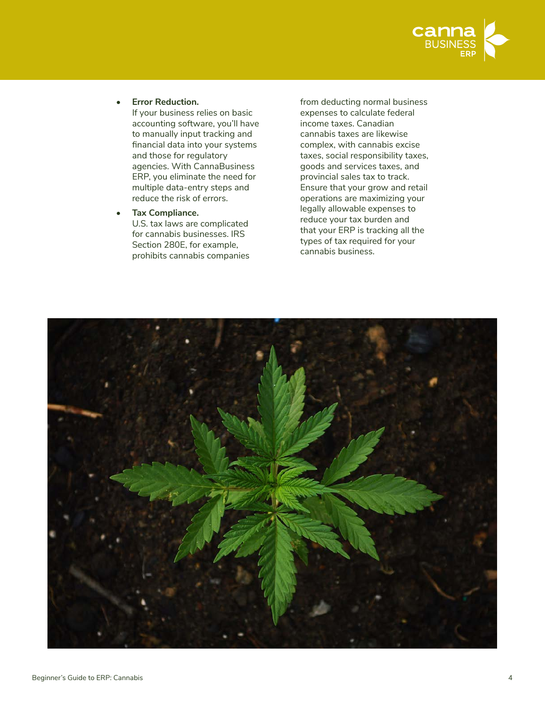

**• Error Reduction.**

If your business relies on basic accounting software, you'll have to manually input tracking and financial data into your systems and those for regulatory agencies. With CannaBusiness ERP, you eliminate the need for multiple data-entry steps and reduce the risk of errors.

**• Tax Compliance.**  U.S. tax laws are complicated for cannabis businesses. IRS Section 280E, for example, prohibits cannabis companies from deducting normal business expenses to calculate federal income taxes. Canadian cannabis taxes are likewise complex, with cannabis excise taxes, social responsibility taxes, goods and services taxes, and provincial sales tax to track. Ensure that your grow and retail operations are maximizing your legally allowable expenses to reduce your tax burden and that your ERP is tracking all the types of tax required for your cannabis business.

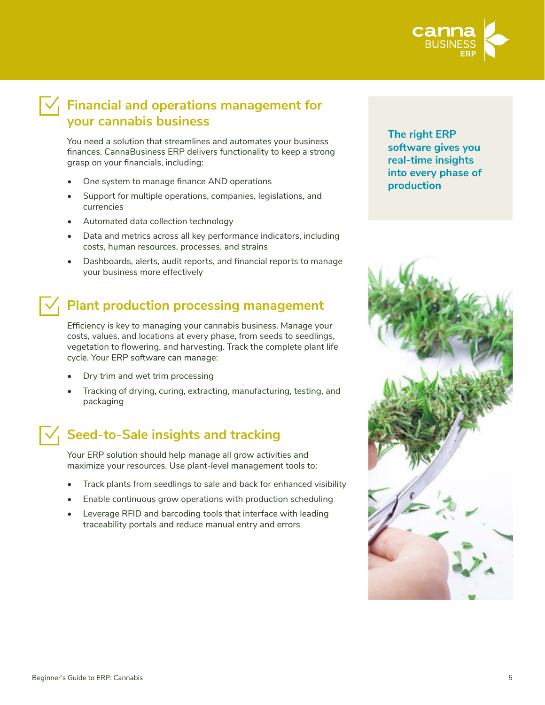

### $\overline{\mathcal{A}}_1$  Financial and operations management for **your cannabis business**

You need a solution that streamlines and automates your business finances. CannaBusiness ERP delivers functionality to keep a strong grasp on your financials, including:

- One system to manage finance AND operations
- Support for multiple operations, companies, legislations, and currencies
- Automated data collection technology
- Data and metrics across all key performance indicators, including costs, human resources, processes, and strains
- Dashboards, alerts, audit reports, and financial reports to manage your business more effectively

### **Plant production processing management**

Efficiency is key to managing your cannabis business. Manage your costs, values, and locations at every phase, from seeds to seedlings, vegetation to flowering, and harvesting. Track the complete plant life cycle. Your ERP software can manage:

- Dry trim and wet trim processing
- Tracking of drying, curing, extracting, manufacturing, testing, and packaging

### $\sqrt{ }$  Seed-to-Sale insights and tracking

Your ERP solution should help manage all grow activities and maximize your resources. Use plant-level management tools to:

- Track plants from seedlings to sale and back for enhanced visibility
- Enable continuous grow operations with production scheduling
- Leverage RFID and barcoding tools that interface with leading traceability portals and reduce manual entry and errors

**The right ERP software gives you real-time insights into every phase of production**

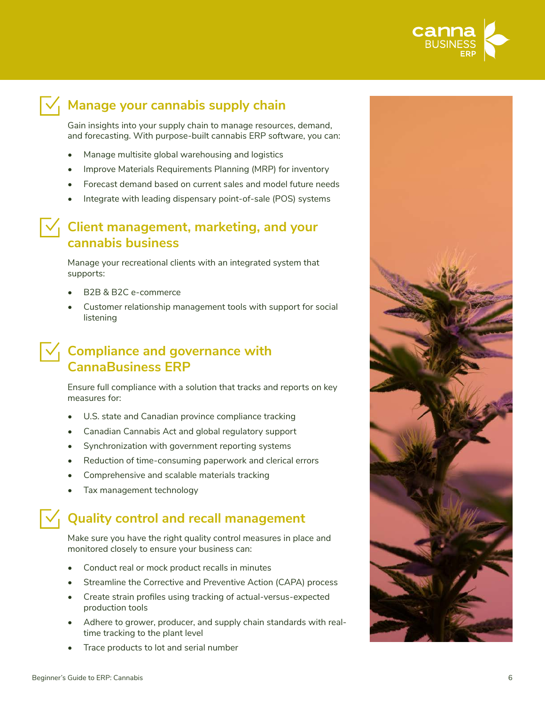

### $\overline{\vee}$  Manage your cannabis supply chain

Gain insights into your supply chain to manage resources, demand, and forecasting. With purpose-built cannabis ERP software, you can:

- Manage multisite global warehousing and logistics
- Improve Materials Requirements Planning (MRP) for inventory
- Forecast demand based on current sales and model future needs
- Integrate with leading dispensary point-of-sale (POS) systems

#### **Client management, marketing, and your cannabis business**

Manage your recreational clients with an integrated system that supports:

- B2B & B2C e-commerce
- Customer relationship management tools with support for social listening

### $\sqrt{ }$  Compliance and governance with **CannaBusiness ERP**

Ensure full compliance with a solution that tracks and reports on key measures for:

- U.S. state and Canadian province compliance tracking
- Canadian Cannabis Act and global regulatory support
- Synchronization with government reporting systems
- Reduction of time-consuming paperwork and clerical errors
- Comprehensive and scalable materials tracking
- Tax management technology

### **Quality control and recall management**

Make sure you have the right quality control measures in place and monitored closely to ensure your business can:

- Conduct real or mock product recalls in minutes
- Streamline the Corrective and Preventive Action (CAPA) process
- Create strain profiles using tracking of actual-versus-expected production tools
- Adhere to grower, producer, and supply chain standards with realtime tracking to the plant level
- Trace products to lot and serial number

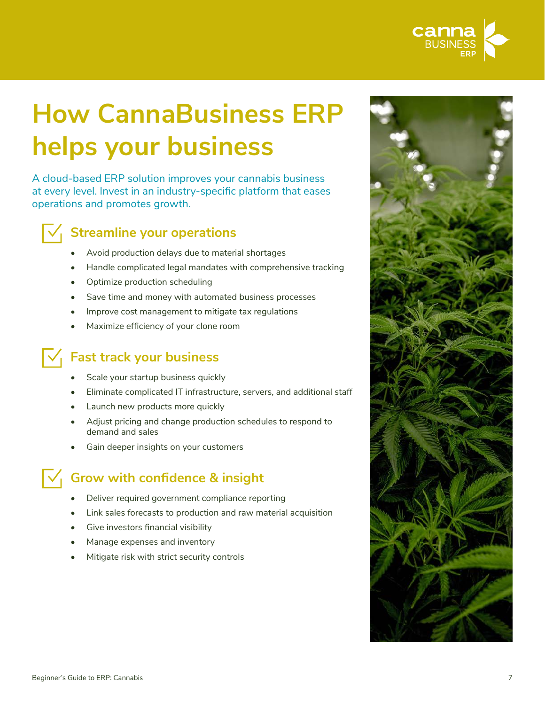

# **How CannaBusiness ERP helps your business**

A cloud-based ERP solution improves your cannabis business at every level. Invest in an industry-specific platform that eases operations and promotes growth.



### **Streamline your operations**

- Avoid production delays due to material shortages
- Handle complicated legal mandates with comprehensive tracking
- Optimize production scheduling
- Save time and money with automated business processes
- Improve cost management to mitigate tax regulations
- Maximize efficiency of your clone room

### **Fast track your business**

- Scale your startup business quickly
- Eliminate complicated IT infrastructure, servers, and additional staff
- Launch new products more quickly
- Adjust pricing and change production schedules to respond to demand and sales
- Gain deeper insights on your customers

### **Grow with confidence & insight**

- Deliver required government compliance reporting
- Link sales forecasts to production and raw material acquisition
- Give investors financial visibility
- Manage expenses and inventory
- Mitigate risk with strict security controls